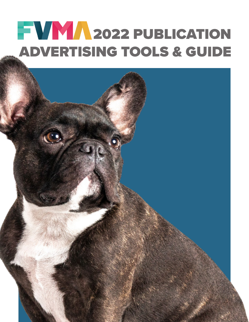# **2022 PUBLICATION** ADVERTISING TOOLS & GUIDE

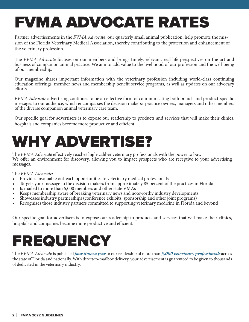## FVMA ADVOCATE RATES

Partner advertisements in the *FVMA Advocate*, our quarterly small animal publication, help promote the mission of the Florida Veterinary Medical Association, thereby contributing to the protection and enhancement of the veterinary profession.

The *FVMA Advocate* focuses on our members and brings timely, relevant, real-life perspectives on the art and business of companion animal practice. We aim to add value to the livelihood of our profession and the well-being of our membership.

Our magazine shares important information with the veterinary profession including world-class continuing education offerings, member news and membership benefit service programs, as well as updates on our advocacy efforts.

*FVMA Advocate* advertising continues to be an effective form of communicating both brand- and product-specific messages to our audience, which encompasses the decision makers: practice owners, managers and other members of the diverse companion animal veterinary care team.

Our specific goal for advertisers is to expose our readership to products and services that will make their clinics, hospitals and companies become more productive and efficient.

## WHY ADVERTISE?

The *FVMA Advocate* effectively reaches high-caliber veterinary professionals with the power to buy. We offer an environment for discovery, allowing you to impact prospects who are receptive to your advertising messages.

The *FVMA Advocate*:

- Provides invaluable outreach opportunities to veterinary medical professionals
- Targets your message to the decision makers from approximately 85 percent of the practices in Florida
- Is mailed to more than 5,000 members and other state VMA's
- Keeps membership aware of breaking veterinary news and noteworthy industry developments
- Showcases industry partnerships (conference exhibits, sponsorship and other joint programs)
- Recognizes those industry partners committed to supporting veterinary medicine in Florida and beyond

Our specific goal for advertisers is to expose our readership to products and services that will make their clinics, hospitals and companies become more productive and efficient.

## FREQUENCY

The *FVMA Advocate* is published *four times a year* to our readership of more than *5,000 veterinary professionals* across the state of Florida and nationally. With direct-to-mailbox delivery, your advertisement is guarenteed to be given to thousands of dedicated in the veterinary industry.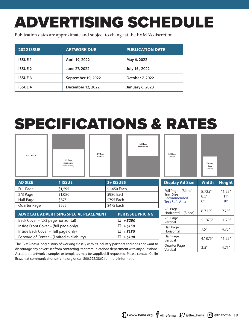## ADVERTISING SCHEDULE

Publication dates are approximate and subject to change at the FVMA's discretion.

| <b>2022 ISSUE</b> | <b>ARTWORK DUE</b> | <b>PUBLICATION DATE</b> |
|-------------------|--------------------|-------------------------|
| <b>ISSUE 1</b>    | April 19, 2022     | May 6, 2022             |
| <b>ISSUE 2</b>    | June 27, 2022      | July 15, 2022           |
| <b>ISSUE 3</b>    | September 19, 2022 | <b>October 7, 2022</b>  |
| <b>ISSUE 4</b>    | December 12, 2022  | <b>January 6, 2023</b>  |

## SPECIFICATIONS & RATES

| <b>FULL PAGE</b>                                                                                        | $2/3$ Page<br>Horizontal<br>(Back Cover) | $2/3$ Page<br>Vertical           | <b>Half Page</b><br>Horizontal | <b>Half</b> Page<br>Vertical         | Quarter<br>Page<br>Vertical |               |
|---------------------------------------------------------------------------------------------------------|------------------------------------------|----------------------------------|--------------------------------|--------------------------------------|-----------------------------|---------------|
| <b>AD SIZE</b>                                                                                          | <b>1 ISSUE</b>                           |                                  | 3+ ISSUES                      | <b>Display Ad Size</b>               | <b>Width</b>                | <b>Height</b> |
| <b>Full Page</b>                                                                                        | \$1,595                                  | \$1,450 Each                     |                                | Full Page - (Bleed)                  | 8.725"                      | 11.25''       |
| 2/3 Page                                                                                                | \$1,080                                  |                                  | \$980 Each                     | <b>Trim Size</b>                     | 8.5''                       | 11''          |
| Half Page                                                                                               | \$875                                    |                                  | \$795 Each                     | Recommended<br><b>Text Safe Area</b> | 8 <sup>''</sup>             | 10"           |
| Quarter Page                                                                                            | \$525<br>\$475 Each                      |                                  |                                |                                      |                             |               |
| <b>ADVOCATE ADVERTISING SPECIAL PLACEMENT</b><br><b>PER ISSUE PRICING</b>                               |                                          | 2/3 Page<br>Horizontal - (Bleed) | 8.725"                         | 7.75''                               |                             |               |
| Back Cover - (2/3 page horizontal)<br>$\Box$ +\$200                                                     |                                          |                                  | 2/3 Page<br>Vertical           | 5.1875"                              | 11.25''                     |               |
| $\Box$ +\$150<br>Inside Front Cover - (full page only)                                                  |                                          | Half Page                        |                                |                                      |                             |               |
| Inside Back Cover - (full page only)<br>$+ $150$<br>□.                                                  |                                          |                                  | Horizontal                     | 7.5''                                | 4.75''                      |               |
| $\Box$ +\$100<br>Forward of Center - (limited availability)                                             |                                          | Half Page<br>Vertical            | 4.1875"                        | 11.25''                              |                             |               |
| The FVMA has a long history of working closely with its industry partners and does not want to          |                                          |                                  | Quarter Page                   | 3.5''                                | 4.75''                      |               |
| discourage any advertiser from contacting its communications department with any questions.<br>Vertical |                                          |                                  |                                |                                      |                             |               |

discourage any advertiser from contacting its communications department with any questions. Acceptable artwork examples or templates may be supplied, if requested. Please contact Collin Brazan at communications@fvma.org or call 800.992.3862 for more information.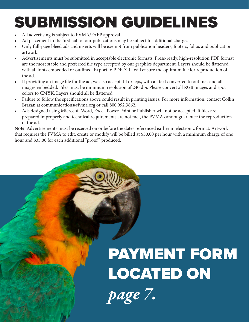## SUBMISSION GUIDELINES

All advertising is subject to FVMA/FAEP approval.

**4** | **FVMA 2022 GUIDELINES**

- Ad placement in the first half of our publications may be subject to additional charges.
- Only full-page bleed ads and inserts will be exempt from publication headers, footers, folios and publication artwork.
- Advertisements must be submitted in acceptable electronic formats. Press-ready, high-resolution PDF format are the most stable and preferred file type accepted by our graphics department. Layers should be flattened with all fonts embedded or outlined. Export to PDF-X 1a will ensure the optimum file for reproduction of the ad.
- If providing an image file for the ad, we also accept .tif or .eps, with all text converted to outlines and all images embedded. Files must be minimum resolution of 240 dpi. Please convert all RGB images and spot colors to CMYK. Layers should all be flattened.
- Failure to follow the specifications above could result in printing issues. For more information, contact Collin Brazan at communications@fvma.org or call 800.992.3862.
- Ads designed using Microsoft Word, Excel, Power Point or Publisher will not be accepted. If files are prepared improperly and technical requirements are not met, the FVMA cannot guarantee the reproduction of the ad.

**Note:** Advertisements must be received on or before the dates referenced earlier in electronic format. Artwork that requires the FVMA to edit, create or modify will be billed at \$50.00 per hour with a minimum charge of one hour and \$35.00 for each additional "proof" produced.

# PAYMENT FORM LOCATED ON

*page 7.*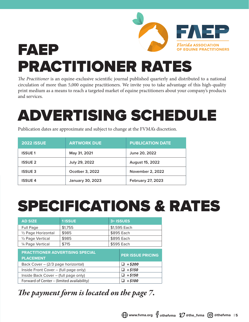### *Florida* association FAEP OF EQUINE PRACTITIONERS PRACTITIONER RATES

*The Practitioner* is an equine-exclusive scientific journal published quarterly and distributed to a national circulation of more than 5,000 equine practitioners. We invite you to take advantage of this high-quality print medium as a means to reach a targeted market of equine practitioners about your company's products and services.

## ADVERTISING SCHEDULE

Publication dates are approximate and subject to change at the FVMA's discretion.

| <b>2022 ISSUE</b> | <b>ARTWORK DUE</b>      | <b>PUBLICATION DATE</b>  |
|-------------------|-------------------------|--------------------------|
| <b>ISSUE1</b>     | May 31, 2021            | June 20, 2022            |
| <b>ISSUE 2</b>    | July 29, 2022           | <b>August 15, 2022</b>   |
| <b>ISSUE 3</b>    | Ocotber 3, 2022         | <b>November 2, 2022</b>  |
| <b>ISSUE 4</b>    | <b>January 30, 2023</b> | <b>February 27, 2023</b> |

## SPECIFICATIONS & RATES

| <b>AD SIZE</b>                             | <b>1 ISSUE</b> |            | 3+ ISSUES                |  |
|--------------------------------------------|----------------|------------|--------------------------|--|
| Full Page                                  | \$1,755        |            | \$1,595 Each             |  |
| 1/2 Page Horizontal                        | \$985          | \$895 Each |                          |  |
| 1/2 Page Vertical                          | \$985          | \$895 Each |                          |  |
| 1/4 Page Vertical                          | \$715          | \$595 Each |                          |  |
| <b>PRACTITIONER ADVERTISING SPECIAL</b>    |                |            | <b>PER ISSUE PRICING</b> |  |
| <b>PLACEMENT</b>                           |                |            |                          |  |
| Back Cover - (2/3 page horizontal)         |                |            | $\Box$ + \$200           |  |
| Inside Front Cover - (full page only)      |                |            | $\Box$ +\$150            |  |
| Inside Back Cover - (full page only)       |                |            | $+ $150$                 |  |
| Forward of Center - (limited availability) |                |            | $+$ \$100                |  |

### *The payment form is located on the page 7.*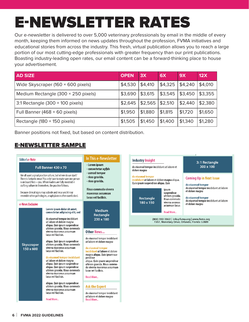#### E-NEWSLETTER RATES Medium Rectangle (230 × 180 pixels) \$3,690 \$3,615 \$3,545 \$3,450 \$3,355 3:1 Rectangle (300 × 100 pixels) \$2,645 \$2,565 \$2,510 \$2,440 \$2,380

Our e-newsletter is delivered to over 5,000 veterinary professionals by email in the middle of every month, keeping them informed on news updates throughout the profession, FVMA initiatives and educational stories from across the industry. This fresh, virtual publication allows you to reach a large portion of our most cutting-edge professionals with greater frequency than our print publications. Boasting industry-leading open rates, our email content can be a forward-thinking place to house your advertisement. portion of our most cutting-ed<br>Boasting industry-leading ope<br>your advertisement. • Banner positions not fixed, but based on content distribution.

Sample e-Newsletter

| <b>AD SIZE</b>                            | <b>OPEN</b>                         | 3X | 6X      | <b>9X</b>                           | 12X               |
|-------------------------------------------|-------------------------------------|----|---------|-------------------------------------|-------------------|
| Wide Skyscraper (160 $\times$ 600 pixels) | \$4,530   \$4,410                   |    |         | $\vert$ \$4,325  \$4,240  \$4,010   |                   |
| Medium Rectangle (300 × 250 pixels)       | $ $ \$3,690 $ $ \$3,615             |    |         | $\vert$ \$3,545   \$3,450   \$3,355 |                   |
| 3:1 Rectangle $(300 \times 100)$ pixels)  | $\vert$ \$2,645   \$2,565   \$2,510 |    |         |                                     | \$2,440   \$2,380 |
| Full Banner (468 × 60 pixels)             | $ $1,950$ $ $1,880$                 |    | \$1,815 | \$1,720                             | \$1,650           |
| Rectangle (180 × 150 pixels)              | $ $1,505$ $ $1,450$                 |    | \$1,400 | \$1,340                             | \$1,280           |

Banner positions not fixed, but based on content distribution. April April 5, 2021 April 14, 2021

#### E-NEWSLETTER SAMPLE MAY May 3, 2021 May 12, 2021

| <b>Editor's e-Note</b>                                                                                                                                                                                                                                                                                                                                                                                                                                                                                                                           | In This e-Newsletter                                                                                                                                                                                                                                                                                                                     | <b>Industry Insight</b>                                                                                                                                               |                                                            | 3:1 Rectangle                                                                                 |  |
|--------------------------------------------------------------------------------------------------------------------------------------------------------------------------------------------------------------------------------------------------------------------------------------------------------------------------------------------------------------------------------------------------------------------------------------------------------------------------------------------------------------------------------------------------|------------------------------------------------------------------------------------------------------------------------------------------------------------------------------------------------------------------------------------------------------------------------------------------------------------------------------------------|-----------------------------------------------------------------------------------------------------------------------------------------------------------------------|------------------------------------------------------------|-----------------------------------------------------------------------------------------------|--|
| Full Banner 430 x 70                                                                                                                                                                                                                                                                                                                                                                                                                                                                                                                             | - Lorem ipsum<br>- consectetur agfids<br>- usmod tempor                                                                                                                                                                                                                                                                                  | do eiusmod tempor incididunt ut labore et<br>dolore magna<br>do eiusmod tempor<br>incididunt ut labore et dolore magna aliqua.<br>Quis ipsum suspendisse aliqua. Quis |                                                            | 300 x 100                                                                                     |  |
| We all want a great practice culture, but where do we start?<br>There is fantastic news! You only have to make sure one person<br>is on board first-you. When leaders are fully invested in                                                                                                                                                                                                                                                                                                                                                      | - rices gravida.<br>- rices gravida.                                                                                                                                                                                                                                                                                                     |                                                                                                                                                                       |                                                            | <b>Coming Up in Next Issue</b><br>do eiusmod tempor                                           |  |
| crafting culture in themselves, the practice follows.<br>Because clinical signs may subside and recur and it may<br>resemble other pathologies, anaphylaxis is often overlooked.                                                                                                                                                                                                                                                                                                                                                                 | Risus commodo viverra<br>maecenas accumsan<br>lacus vel facilisis.                                                                                                                                                                                                                                                                       | Rectangle                                                                                                                                                             | ipsum<br>suspendisse<br>ultrices gravida.<br>Risus commodo | do eiusmod tempor incididunt ut labore<br>et dolore magna<br>do eiusmod tempor                |  |
| e-News Exclusive<br>Lorem ipsum dolor sit amet,                                                                                                                                                                                                                                                                                                                                                                                                                                                                                                  | <b>Medium</b>                                                                                                                                                                                                                                                                                                                            | 180 x 150                                                                                                                                                             | viverra aecenas<br>accumsan lacus<br><b>Read More</b>      | do eiusmod tempor incididunt ut labore<br>et dolore magna                                     |  |
| consectetur adipiscing elit, sed<br>do eiusmod tempor incididunt<br>ut labore et dolore magna<br>aliqua. Quis ipsum suspendisse<br>ultrices gravida. Risus commodo<br>viverra maecenas accumsan<br>lacus vel facilisis.<br>aliqua. Quis ipsum suspendisse<br>ultrices gravida. Risus commodo<br>Skyscraper<br>viverra maecenas accumsan<br>150 x 600<br>lacus vel facilisis.<br>do eiusmod tempor incididunt<br>ut labore et dolore magna<br>aliqua. Quis ipsum suspendisse<br>aliqua. Quis ipsum suspendisse<br>ultrices gravida. Risus commodo | Rectangle<br>230 x 180<br><b>Other News</b><br>do eiusmod tempor incididunt<br>ut labore et dolore magna<br>do eiusmod tempor<br>incididunt ut labore et dolore<br>magna aliqua. Quis ipsum sus-<br>pendisse<br>aliqua. Quis ipsum suspendisse<br>ultrices gravida. Risus commo-<br>do viverra maecenas accumsan<br>lacus vel facilisis. |                                                                                                                                                                       |                                                            | (800) 992-3862   info@fvma.org   www.fvma.org<br>7207, Monetary Drive, Orlando, Florida 32809 |  |